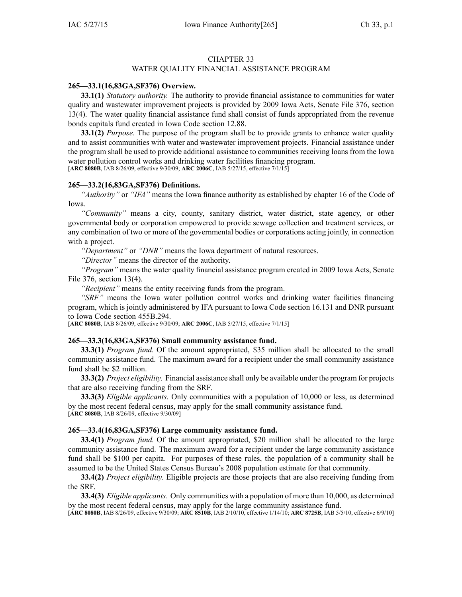#### CHAPTER 33

## WATER QUALITY FINANCIAL ASSISTANCE PROGRAM

### **265—33.1(16,83GA,SF376) Overview.**

**33.1(1)** *Statutory authority.* The authority to provide financial assistance to communities for water quality and wastewater improvement projects is provided by 2009 Iowa Acts, Senate File 376, section 13(4). The water quality financial assistance fund shall consist of funds appropriated from the revenue bonds capitals fund created in Iowa Code section [12.88](https://www.legis.iowa.gov/docs/ico/section/12.88.pdf).

**33.1(2)** *Purpose.* The purpose of the program shall be to provide grants to enhance water quality and to assist communities with water and wastewater improvement projects. Financial assistance under the program shall be used to provide additional assistance to communities receiving loans from the Iowa water pollution control works and drinking water facilities financing program. [**ARC 8080B**, IAB 8/26/09, effective 9/30/09; **ARC 2006C**, IAB 5/27/15, effective 7/1/15]

#### **265—33.2(16,83GA,SF376) Definitions.**

*"Authority"* or *"IFA"* means the Iowa finance authority as established by chapter [16](https://www.legis.iowa.gov/docs/ico/chapter/16.pdf) of the Code of Iowa.

*"Community"* means <sup>a</sup> city, county, sanitary district, water district, state agency, or other governmental body or corporation empowered to provide sewage collection and treatment services, or any combination of two or more of the governmental bodies or corporations acting jointly, in connection with <sup>a</sup> project.

*"Department"* or *"DNR"* means the Iowa department of natural resources.

*"Director"* means the director of the authority.

*"Program"* means the water quality financial assistance program created in 2009 Iowa Acts, Senate File 376, section 13(4).

*"Recipient"* means the entity receiving funds from the program.

*"SRF"* means the Iowa water pollution control works and drinking water facilities financing program, which is jointly administered by IFA pursuan<sup>t</sup> to Iowa Code section [16.131](https://www.legis.iowa.gov/docs/ico/section/16.131.pdf) and DNR pursuan<sup>t</sup> to Iowa Code section [455B.294](https://www.legis.iowa.gov/docs/ico/section/455B.294.pdf).

[**ARC 8080B**, IAB 8/26/09, effective 9/30/09; **ARC 2006C**, IAB 5/27/15, effective 7/1/15]

### **265—33.3(16,83GA,SF376) Small community assistance fund.**

**33.3(1)** *Program fund.* Of the amount appropriated, \$35 million shall be allocated to the small community assistance fund. The maximum award for <sup>a</sup> recipient under the small community assistance fund shall be \$2 million.

**33.3(2)** *Project eligibility.* Financial assistance shall only be available under the program for projects that are also receiving funding from the SRF.

**33.3(3)** *Eligible applicants.* Only communities with <sup>a</sup> population of 10,000 or less, as determined by the most recent federal census, may apply for the small community assistance fund. [**ARC 8080B**, IAB 8/26/09, effective 9/30/09]

### **265—33.4(16,83GA,SF376) Large community assistance fund.**

**33.4(1)** *Program fund.* Of the amount appropriated, \$20 million shall be allocated to the large community assistance fund. The maximum award for <sup>a</sup> recipient under the large community assistance fund shall be \$100 per capita. For purposes of these rules, the population of <sup>a</sup> community shall be assumed to be the United States Census Bureau's 2008 population estimate for that community.

**33.4(2)** *Project eligibility.* Eligible projects are those projects that are also receiving funding from the SRF.

**33.4(3)** *Eligible applicants.* Only communities with <sup>a</sup> population of more than 10,000, as determined by the most recent federal census, may apply for the large community assistance fund.

[**ARC 8080B**, IAB 8/26/09, effective 9/30/09; **ARC 8510B**, IAB 2/10/10, effective 1/14/10; **ARC 8725B**, IAB 5/5/10, effective 6/9/10]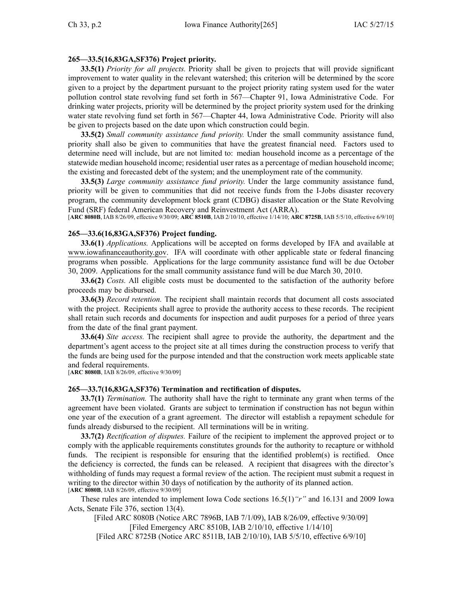# **265—33.5(16,83GA,SF376) Project priority.**

**33.5(1)** *Priority for all projects.* Priority shall be given to projects that will provide significant improvement to water quality in the relevant watershed; this criterion will be determined by the score given to <sup>a</sup> project by the department pursuan<sup>t</sup> to the project priority rating system used for the water pollution control state revolving fund set forth in 567—Chapter 91, Iowa Administrative Code. For drinking water projects, priority will be determined by the project priority system used for the drinking water state revolving fund set forth in 567—Chapter 44, Iowa Administrative Code. Priority will also be given to projects based on the date upon which construction could begin.

**33.5(2)** *Small community assistance fund priority.* Under the small community assistance fund, priority shall also be given to communities that have the greatest financial need. Factors used to determine need will include, but are not limited to: median household income as <sup>a</sup> percentage of the statewide median household income; residential user rates as <sup>a</sup> percentage of median household income; the existing and forecasted debt of the system; and the unemployment rate of the community.

**33.5(3)** *Large community assistance fund priority.* Under the large community assistance fund, priority will be given to communities that did not receive funds from the I-Jobs disaster recovery program, the community development block gran<sup>t</sup> (CDBG) disaster allocation or the State Revolving Fund (SRF) federal American Recovery and Reinvestment Act (ARRA).

[**ARC 8080B**, IAB 8/26/09, effective 9/30/09; **ARC 8510B**, IAB 2/10/10, effective 1/14/10; **ARC 8725B**, IAB 5/5/10, effective 6/9/10]

## **265—33.6(16,83GA,SF376) Project funding.**

**33.6(1)** *Applications.* Applications will be accepted on forms developed by IFA and available at www.iowafinanceauthority.gov. IFA will coordinate with other applicable state or federal financing programs when possible. Applications for the large community assistance fund will be due October 30, 2009. Applications for the small community assistance fund will be due March 30, 2010.

**33.6(2)** *Costs.* All eligible costs must be documented to the satisfaction of the authority before proceeds may be disbursed.

**33.6(3)** *Record retention.* The recipient shall maintain records that document all costs associated with the project. Recipients shall agree to provide the authority access to these records. The recipient shall retain such records and documents for inspection and audit purposes for <sup>a</sup> period of three years from the date of the final gran<sup>t</sup> payment.

**33.6(4)** *Site access.* The recipient shall agree to provide the authority, the department and the department's agen<sup>t</sup> access to the project site at all times during the construction process to verify that the funds are being used for the purpose intended and that the construction work meets applicable state and federal requirements.

[**ARC 8080B**, IAB 8/26/09, effective 9/30/09]

### **265—33.7(16,83GA,SF376) Termination and rectification of disputes.**

**33.7(1)** *Termination.* The authority shall have the right to terminate any gran<sup>t</sup> when terms of the agreemen<sup>t</sup> have been violated. Grants are subject to termination if construction has not begun within one year of the execution of <sup>a</sup> gran<sup>t</sup> agreement. The director will establish <sup>a</sup> repaymen<sup>t</sup> schedule for funds already disbursed to the recipient. All terminations will be in writing.

**33.7(2)** *Rectification of disputes.* Failure of the recipient to implement the approved project or to comply with the applicable requirements constitutes grounds for the authority to recapture or withhold funds. The recipient is responsible for ensuring that the identified problem(s) is rectified. Once the deficiency is corrected, the funds can be released. A recipient that disagrees with the director's withholding of funds may reques<sup>t</sup> <sup>a</sup> formal review of the action. The recipient must submit <sup>a</sup> reques<sup>t</sup> in writing to the director within 30 days of notification by the authority of its planned action. [**ARC 8080B**, IAB 8/26/09, effective 9/30/09]

These rules are intended to implement Iowa Code sections [16.5\(1\)](https://www.legis.iowa.gov/docs/ico/section/16.5.pdf)*"r"* and [16.131](https://www.legis.iowa.gov/docs/ico/section/16.131.pdf) and 2009 Iowa Acts, Senate File 376, section 13(4).

[Filed ARC 8080B (Notice ARC 7896B, IAB 7/1/09), IAB 8/26/09, effective 9/30/09] [Filed Emergency ARC 8510B, IAB 2/10/10, effective 1/14/10] [Filed ARC 8725B (Notice ARC 8511B, IAB 2/10/10), IAB 5/5/10, effective 6/9/10]